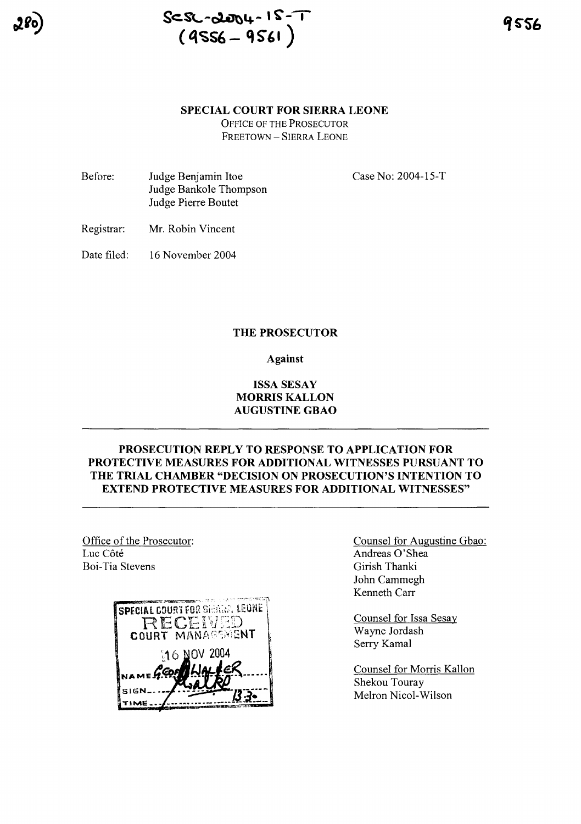



9556

#### **SPECIAL COURT FOR SIERRA LEONE**

OFFICE OF THE PROSECUTOR FREETOWN - SIERRA LEONE

Before: Judge Benjamin Itoe Judge Bankole Thompson Judge Pierre Boutet

Case No: 2004-l5-T

Registrar: Mr. Robin Vincent

Date filed: 16 November 2004

#### **THE PROSECUTOR**

#### **Against**

## **ISSA SESAY MORRIS KALLON AUGUSTINE GBAO**

# **PROSECUTION REPLY TO RESPONSE TO APPLICATION FOR PROTECTIVE MEASURES FOR ADDITIONAL WITNESSES PURSUANT TO THE TRIAL CHAMBER "DECISION ON PROSECUTION'S INTENTION TO EXTEND PROTECTIVE MEASURES FOR ADDITIONAL WITNESSES"**

Office of the Prosecutor: Luc Côté Boi-Tia Stevens



Counsel for Augustine Gbao: Andreas O'Shea Girish Thanki John Cammegh Kenneth Carr

Counsel for Issa Sesay Wayne Jordash Serry Kamal

Counsel for Morris Kallon Shekou Touray Melron Nicol-Wilson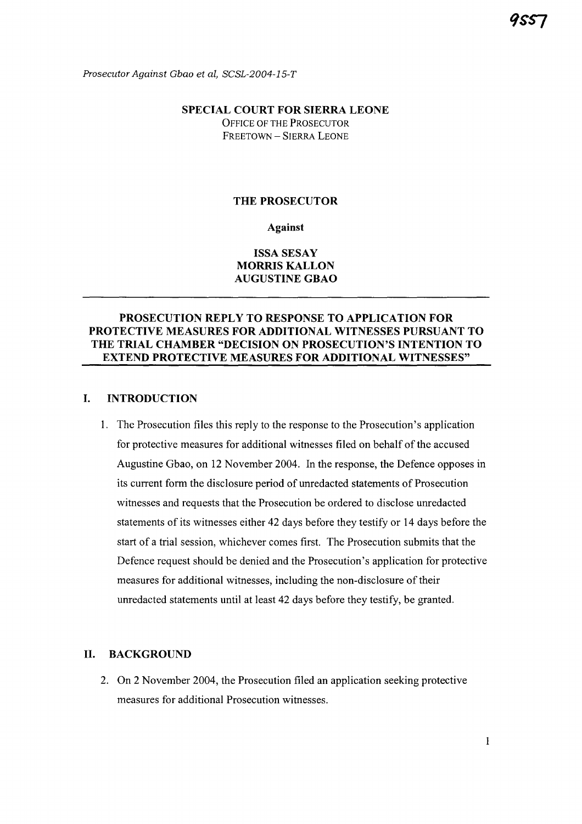Prosecutor Against Gbao et al, SCSL-2004-15-T

## SPECIAL COURT FOR SIERRA LEONE OFFICE OF THE PROSECUTOR FREETOWN - SIERRA LEONE

### THE PROSECUTOR

Against

## ISSA SESAY MORRIS KALLON AUGUSTINE GBAO

# PROSECUTION REPLY TO RESPONSE TO APPLICATION FOR PROTECTIVE MEASURES FOR ADDITIONAL WITNESSES PURSUANT TO THE TRIAL CHAMBER "DECISION ON PROSECUTION'S INTENTION TO EXTEND PROTECTIVE MEASURES FOR ADDITIONAL WITNESSES"

### I. INTRODUCTION

1. The Prosecution files this reply to the response to the Prosecution's application for protective measures for additional witnesses filed on behalf of the accused Augustine Gbao, on 12 November 2004. In the response, the Defence opposes in its current form the disclosure period of unredacted statements of Prosecution witnesses and requests that the Prosecution be ordered to disclose unredacted statements of its witnesses either 42 days before they testify or 14 days before the start of a trial session, whichever comes first. The Prosecution submits that the Defence request should be denied and the Prosecution's application for protective measures for additional witnesses, including the non-disclosure of their unredacted statements until at least 42 days before they testify, be granted.

#### II. BACKGROUND

2. On 2 November 2004, the Prosecution filed an application seeking protective measures for additional Prosecution witnesses.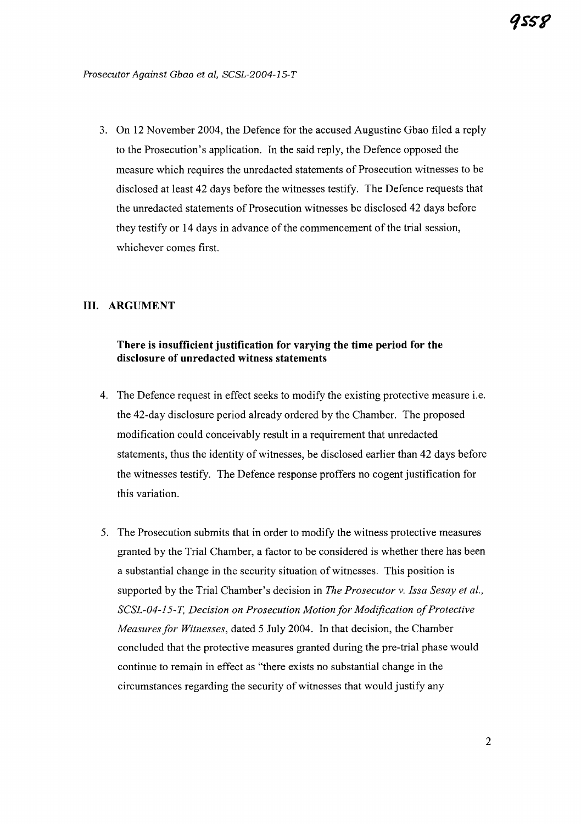3. On 12 November 2004, the Defence for the accused Augustine Gbao filed a reply to the Prosecution's application. In the said reply, the Defence opposed the measure which requires the unredacted statements of Prosecution witnesses to be disclosed at least 42 days before the witnesses testify. The Defence requests that the unredacted statements of Prosecution witnesses be disclosed 42 days before they testify or 14 days in advance of the commencement of the trial session, whichever comes first.

# **III. ARGUMENT**

# **There is insufficient justification for varying the time period for the disclosure of** unredacted **witness statements**

- 4. The Defence request in effect seeks to modify the existing protective measure i.e. the 42-day disclosure period already ordered by the Chamber. The proposed modification could conceivably result in a requirement that unredacted statements, thus the identity of witnesses, be disclosed earlier than 42 days before the witnesses testify. The Defence response proffers no cogent justification for this variation.
- 5. The Prosecution submits that in order to modify the witness protective measures granted by the Trial Chamber, a factor to be considered is whether there has been a substantial change in the security situation of witnesses. This position is supported by the Trial Chamber's decision in *The Prosecutor v. Issa Sesay et al., SCSL-04-15-T, Decision on Prosecution Motion for Modification ofProtective Measures for Witnesses, dated 5 July 2004. In that decision, the Chamber* concluded that the protective measures granted during the pre-trial phase would continue to remain in effect as "there exists no substantial change in the circumstances regarding the security of witnesses that would justify any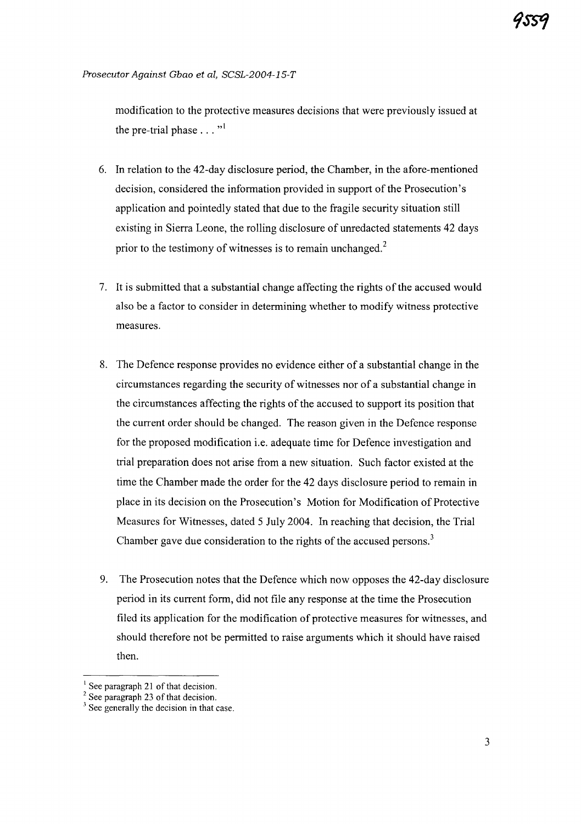modification to the protective measures decisions that were previously issued at the pre-trial phase  $\dots$ <sup>1</sup>

- 6. In relation to the 42-day disclosure period, the Chamber, in the afore-mentioned decision, considered the information provided in support of the Prosecution's application and pointedly stated that due to the fragile security situation still existing in Sierra Leone, the rolling disclosure of unredacted statements 42 days prior to the testimony of witnesses is to remain unchanged.<sup>2</sup>
- 7. It is submitted that a substantial change affecting the rights ofthe accused would also be a factor to consider in determining whether to modify witness protective measures.
- 8. The Defence response provides no evidence either of a substantial change in the circumstances regarding the security of witnesses nor of a substantial change in the circumstances affecting the rights of the accused to support its position that the current order should be changed. The reason given in the Defence response for the proposed modification i.e. adequate time for Defence investigation and trial preparation does not arise from a new situation. Such factor existed at the time the Chamber made the order for the 42 days disclosure period to remain in place in its decision on the Prosecution's Motion for Modification of Protective Measures for Witnesses, dated 5 July 2004. In reaching that decision, the Trial Chamber gave due consideration to the rights of the accused persons. $3$
- 9. The Prosecution notes that the Defence which now opposes the 42-day disclosure period in its current form, did not file any response at the time the Prosecution filed its application for the modification of protective measures for witnesses, and should therefore not be permitted to raise arguments which it should have raised then.

 $<sup>1</sup>$  See paragraph 21 of that decision.</sup>

 $2$  See paragraph 23 of that decision.

 $3$  See generally the decision in that case.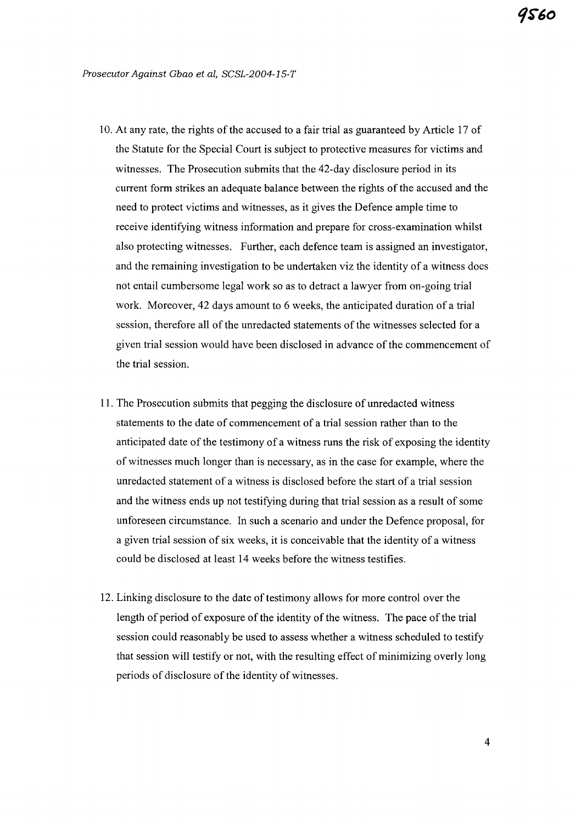- 10. At any rate, the rights of the accused to a fair trial as guaranteed by Article 17 of the Statute for the Special Court is subject to protective measures for victims and witnesses. The Prosecution submits that the 42-day disclosure period in its current form strikes an adequate balance between the rights of the accused and the need to protect victims and witnesses, as it gives the Defence ample time to receive identifying witness information and prepare for cross-examination whilst also protecting witnesses. Further, each defence team is assigned an investigator, and the remaining investigation to be undertaken viz the identity of a witness does not entail cumbersome legal work so as to detract a lawyer from on-going trial work. Moreover, 42 days amount to 6 weeks, the anticipated duration of a trial session, therefore all of the unredacted statements of the witnesses selected for a given trial session would have been disclosed in advance ofthe commencement of the trial session.
- 11. The Prosecution submits that pegging the disclosure of unredacted witness statements to the date of commencement of a trial session rather than to the anticipated date of the testimony of a witness runs the risk of exposing the identity of witnesses much longer than is necessary, as in the case for example, where the unredacted statement of a witness is disclosed before the start of a trial session and the witness ends up not testifying during that trial session as a result of some unforeseen circumstance. In such a scenario and under the Defence proposal, for a given trial session of six weeks, it is conceivable that the identity of a witness could be disclosed at least 14 weeks before the witness testifies.
- 12. Linking disclosure to the date of testimony allows for more control over the length of period of exposure of the identity of the witness. The pace of the trial session could reasonably be used to assess whether a witness scheduled to testify that session will testify or not, with the resulting effect of minimizing overly long periods of disclosure of the identity of witnesses.